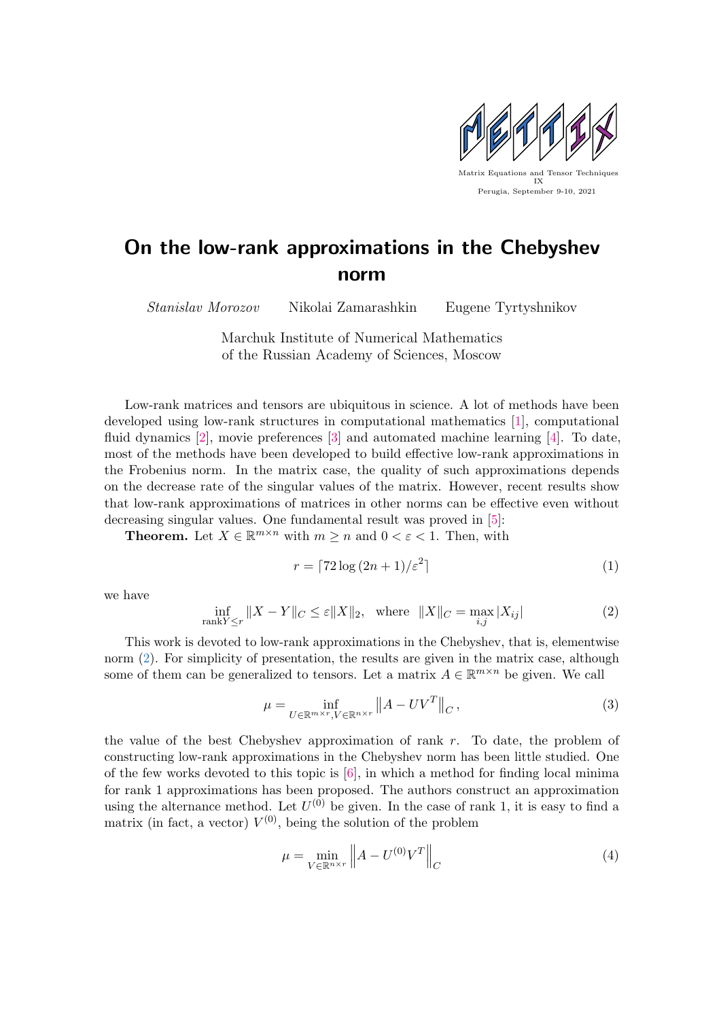

## On the low-rank approximations in the Chebyshev norm

Stanislav Morozov Nikolai Zamarashkin Eugene Tyrtyshnikov

Marchuk Institute of Numerical Mathematics of the Russian Academy of Sciences, Moscow

Low-rank matrices and tensors are ubiquitous in science. A lot of methods have been developed using low-rank structures in computational mathematics [\[1\]](#page-1-0), computational fluid dynamics [\[2\]](#page-1-1), movie preferences [\[3\]](#page-1-2) and automated machine learning [\[4\]](#page-1-3). To date, most of the methods have been developed to build effective low-rank approximations in the Frobenius norm. In the matrix case, the quality of such approximations depends on the decrease rate of the singular values of the matrix. However, recent results show that low-rank approximations of matrices in other norms can be effective even without decreasing singular values. One fundamental result was proved in [\[5\]](#page-1-4):

**Theorem.** Let  $X \in \mathbb{R}^{m \times n}$  with  $m \geq n$  and  $0 < \varepsilon < 1$ . Then, with

$$
r = \lceil 72\log\left(2n + 1\right)/\varepsilon^2\rceil\tag{1}
$$

we have

<span id="page-0-0"></span>
$$
\inf_{\text{rank}Y \le r} \|X - Y\|_{C} \le \varepsilon \|X\|_{2}, \quad \text{where} \quad \|X\|_{C} = \max_{i,j} |X_{ij}| \tag{2}
$$

This work is devoted to low-rank approximations in the Chebyshev, that is, elementwise norm [\(2\)](#page-0-0). For simplicity of presentation, the results are given in the matrix case, although some of them can be generalized to tensors. Let a matrix  $A \in \mathbb{R}^{m \times n}$  be given. We call

$$
\mu = \inf_{U \in \mathbb{R}^{m \times r}, V \in \mathbb{R}^{n \times r}} \|A - UV^T\|_C, \tag{3}
$$

the value of the best Chebyshev approximation of rank  $r$ . To date, the problem of constructing low-rank approximations in the Chebyshev norm has been little studied. One of the few works devoted to this topic is [\[6\]](#page-1-5), in which a method for finding local minima for rank 1 approximations has been proposed. The authors construct an approximation using the alternance method. Let  $U^{(0)}$  be given. In the case of rank 1, it is easy to find a matrix (in fact, a vector)  $V^{(0)}$ , being the solution of the problem

<span id="page-0-1"></span>
$$
\mu = \min_{V \in \mathbb{R}^{n \times r}} \left\| A - U^{(0)} V^T \right\|_C \tag{4}
$$